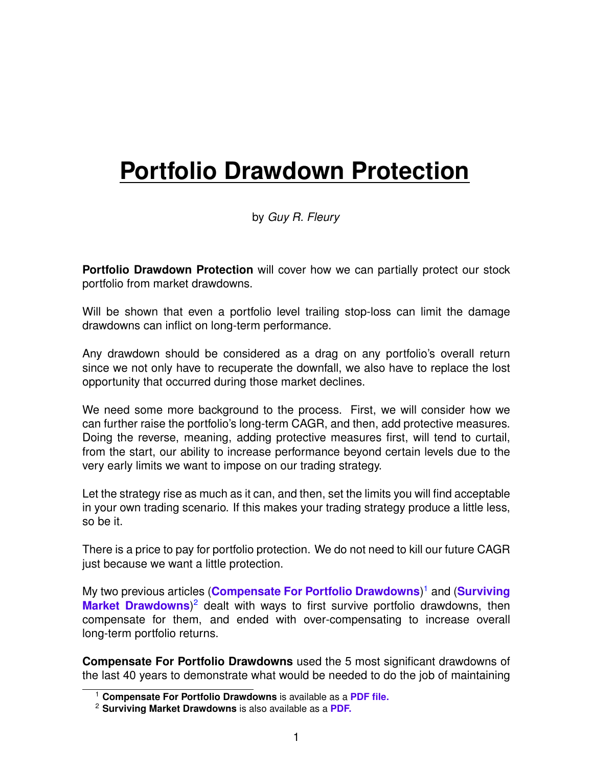# **Portfolio Drawdown Protection**

by *Guy R. Fleury*

**Portfolio Drawdown Protection** will cover how we can partially protect our stock portfolio from market drawdowns.

Will be shown that even a portfolio level trailing stop-loss can limit the damage drawdowns can inflict on long-term performance.

Any drawdown should be considered as a drag on any portfolio's overall return since we not only have to recuperate the downfall, we also have to replace the lost opportunity that occurred during those market declines.

We need some more background to the process. First, we will consider how we can further raise the portfolio's long-term CAGR, and then, add protective measures. Doing the reverse, meaning, adding protective measures first, will tend to curtail, from the start, our ability to increase performance beyond certain levels due to the very early limits we want to impose on our trading strategy.

Let the strategy rise as much as it can, and then, set the limits you will find acceptable in your own trading scenario. If this makes your trading strategy produce a little less, so be it.

There is a price to pay for portfolio protection. We do not need to kill our future CAGR just because we want a little protection.

My two previous articles (**[Compensate For Portfolio Drawdowns](https://alphapowertrading.com/index.php/2-uncategorised/423-compensate-for-portfolio-drawdowns)**) [1](#page-0-0) and (**[Surviving](https://alphapowertrading.com/index.php/2-uncategorised/422-surviving-market-drawdowns)** [Market Drawdowns](https://alphapowertrading.com/index.php/2-uncategorised/422-surviving-market-drawdowns))<sup>[2](#page-0-1)</sup> dealt with ways to first survive portfolio drawdowns, then compensate for them, and ended with over-compensating to increase overall long-term portfolio returns.

**Compensate For Portfolio Drawdowns** used the 5 most significant drawdowns of the last 40 years to demonstrate what would be needed to do the job of maintaining

<span id="page-0-0"></span><sup>1</sup> **Compensate For Portfolio Drawdowns** is available as a **[PDF file.](https://alphapowertrading.com/QC/Compensate_For_Drawdowns.pdf)**

<span id="page-0-1"></span><sup>2</sup> **Surviving Market Drawdowns** is also available as a **[PDF.](https://alphapowertrading.com/QC/Market_Drawdowns.pdf)**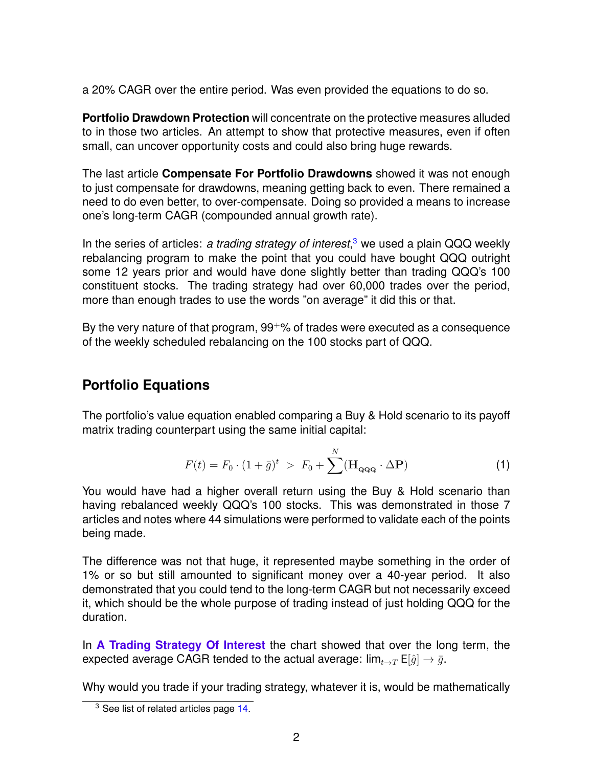a 20% CAGR over the entire period. Was even provided the equations to do so.

**Portfolio Drawdown Protection** will concentrate on the protective measures alluded to in those two articles. An attempt to show that protective measures, even if often small, can uncover opportunity costs and could also bring huge rewards.

The last article **Compensate For Portfolio Drawdowns** showed it was not enough to just compensate for drawdowns, meaning getting back to even. There remained a need to do even better, to over-compensate. Doing so provided a means to increase one's long-term CAGR (compounded annual growth rate).

In the series of articles: *a trading strategy of interest*, [3](#page-1-0) we used a plain QQQ weekly rebalancing program to make the point that you could have bought QQQ outright some 12 years prior and would have done slightly better than trading QQQ's 100 constituent stocks. The trading strategy had over 60,000 trades over the period, more than enough trades to use the words "on average" it did this or that.

By the very nature of that program,  $99^{+}\%$  of trades were executed as a consequence of the weekly scheduled rebalancing on the 100 stocks part of QQQ.

# **Portfolio Equations**

The portfolio's value equation enabled comparing a Buy & Hold scenario to its payoff matrix trading counterpart using the same initial capital:

<span id="page-1-1"></span>
$$
F(t) = F_0 \cdot (1 + \bar{g})^t > F_0 + \sum^N (\mathbf{H}_{\mathbf{Q}\mathbf{Q}\mathbf{Q}} \cdot \Delta \mathbf{P})
$$
 (1)

You would have had a higher overall return using the Buy & Hold scenario than having rebalanced weekly QQQ's 100 stocks. This was demonstrated in those 7 articles and notes where 44 simulations were performed to validate each of the points being made.

The difference was not that huge, it represented maybe something in the order of 1% or so but still amounted to significant money over a 40-year period. It also demonstrated that you could tend to the long-term CAGR but not necessarily exceed it, which should be the whole purpose of trading instead of just holding QQQ for the duration.

In **[A Trading Strategy Of Interest](https://alphapowertrading.com/index.php/2-uncategorised/415-a-trading-strategy-of-interest)** the chart showed that over the long term, the expected average CAGR tended to the actual average:  $\lim_{t\to T} E[\hat{g}] \to \bar{g}$ .

Why would you trade if your trading strategy, whatever it is, would be mathematically

<span id="page-1-0"></span><sup>&</sup>lt;sup>3</sup> See list of related articles page [14.](#page-11-0)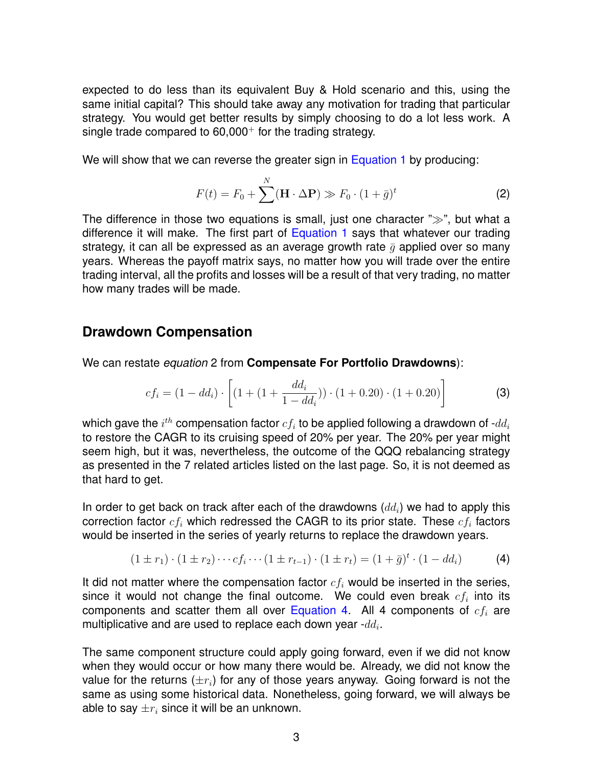expected to do less than its equivalent Buy & Hold scenario and this, using the same initial capital? This should take away any motivation for trading that particular strategy. You would get better results by simply choosing to do a lot less work. A single trade compared to  $60,000^+$  for the trading strategy.

We will show that we can reverse the greater sign in [Equation 1](#page-1-1) by producing:

<span id="page-2-2"></span>
$$
F(t) = F_0 + \sum_{i=1}^{N} (\mathbf{H} \cdot \Delta \mathbf{P}) \gg F_0 \cdot (1 + \bar{g})^t
$$
 (2)

The difference in those two equations is small, just one character "≫", but what a difference it will make. The first part of [Equation 1](#page-1-1) says that whatever our trading strategy, it can all be expressed as an average growth rate  $\bar{q}$  applied over so many years. Whereas the payoff matrix says, no matter how you will trade over the entire trading interval, all the profits and losses will be a result of that very trading, no matter how many trades will be made.

#### **Drawdown Compensation**

We can restate *equation* 2 from **Compensate For Portfolio Drawdowns**):

<span id="page-2-1"></span>
$$
cf_i = (1 - dd_i) \cdot \left[ (1 + (1 + \frac{dd_i}{1 - dd_i})) \cdot (1 + 0.20) \cdot (1 + 0.20) \right]
$$
 (3)

which gave the  $i^{th}$  compensation factor  $cf_i$  to be applied following a drawdown of - $dd_i$ to restore the CAGR to its cruising speed of 20% per year. The 20% per year might seem high, but it was, nevertheless, the outcome of the QQQ rebalancing strategy as presented in the 7 related articles listed on the last page. So, it is not deemed as that hard to get.

In order to get back on track after each of the drawdowns  $(dd_i)$  we had to apply this correction factor  $cf_i$  which redressed the CAGR to its prior state. These  $cf_i$  factors would be inserted in the series of yearly returns to replace the drawdown years.

<span id="page-2-0"></span>
$$
(1 \pm r_1) \cdot (1 \pm r_2) \cdots c f_i \cdots (1 \pm r_{t-1}) \cdot (1 \pm r_t) = (1 + \bar{g})^t \cdot (1 - d d_i)
$$
 (4)

It did not matter where the compensation factor  $cf_i$  would be inserted in the series, since it would not change the final outcome. We could even break  $cf_i$  into its components and scatter them all over [Equation 4.](#page-2-0) All 4 components of  $cf_i$  are multiplicative and are used to replace each down year - $dd_i$ .

The same component structure could apply going forward, even if we did not know when they would occur or how many there would be. Already, we did not know the value for the returns  $(\pm r_i)$  for any of those years anyway. Going forward is not the same as using some historical data. Nonetheless, going forward, we will always be able to say  $\pm r_i$  since it will be an unknown.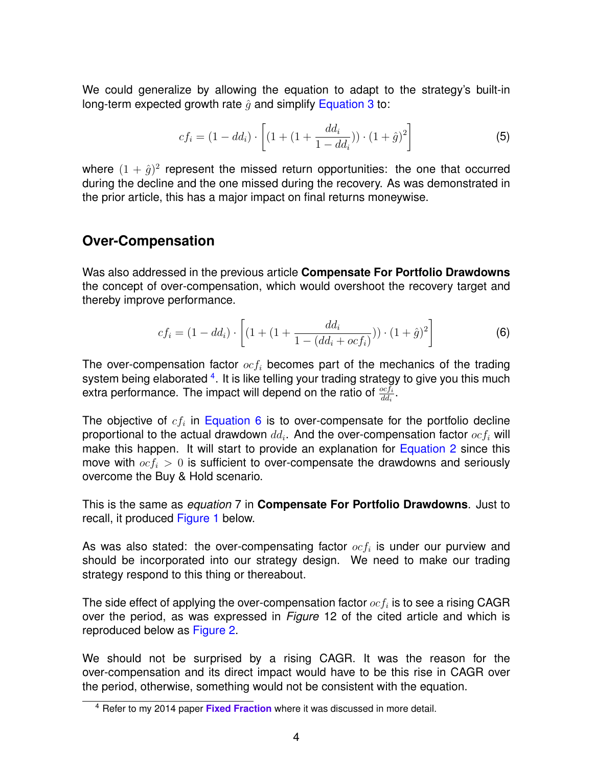We could generalize by allowing the equation to adapt to the strategy's built-in long-term expected growth rate  $\hat{q}$  and simplify [Equation 3](#page-2-1) to:

$$
cf_i = (1 - dd_i) \cdot \left[ (1 + (1 + \frac{dd_i}{1 - dd_i})) \cdot (1 + \hat{g})^2 \right]
$$
 (5)

where  $(1 + \hat{g})^2$  represent the missed return opportunities: the one that occurred during the decline and the one missed during the recovery. As was demonstrated in the prior article, this has a major impact on final returns moneywise.

#### **Over-Compensation**

Was also addressed in the previous article **Compensate For Portfolio Drawdowns** the concept of over-compensation, which would overshoot the recovery target and thereby improve performance.

<span id="page-3-1"></span>
$$
cf_i = (1 - dd_i) \cdot \left[ (1 + (1 + \frac{dd_i}{1 - (dd_i + ocf_i)})) \cdot (1 + \hat{g})^2 \right]
$$
(6)

The over-compensation factor  $ocf_i$  becomes part of the mechanics of the trading system being elaborated <sup>[4](#page-3-0)</sup>. It is like telling your trading strategy to give you this much extra performance. The impact will depend on the ratio of  $\frac{ocf_i}{dd_i}$ .

The objective of  $cf_i$  in [Equation 6](#page-3-1) is to over-compensate for the portfolio decline proportional to the actual drawdown  $dd_i$ . And the over-compensation factor  $ocf_i$  will make this happen. It will start to provide an explanation for [Equation 2](#page-2-2) since this move with  $ocf_i > 0$  is sufficient to over-compensate the drawdowns and seriously overcome the Buy & Hold scenario.

This is the same as *equation* 7 in **Compensate For Portfolio Drawdowns**. Just to recall, it produced [Figure 1](#page-4-0) below.

As was also stated: the over-compensating factor  $ocf_i$  is under our purview and should be incorporated into our strategy design. We need to make our trading strategy respond to this thing or thereabout.

The side effect of applying the over-compensation factor  $ocf_i$  is to see a rising CAGR over the period, as was expressed in *Figure* 12 of the cited article and which is reproduced below as [Figure 2.](#page-4-1)

We should not be surprised by a rising CAGR. It was the reason for the over-compensation and its direct impact would have to be this rise in CAGR over the period, otherwise, something would not be consistent with the equation.

<span id="page-3-0"></span><sup>4</sup> Refer to my 2014 paper **[Fixed Fraction](https://alphapowertrading.com/papers/FixedFraction.pdf)** where it was discussed in more detail.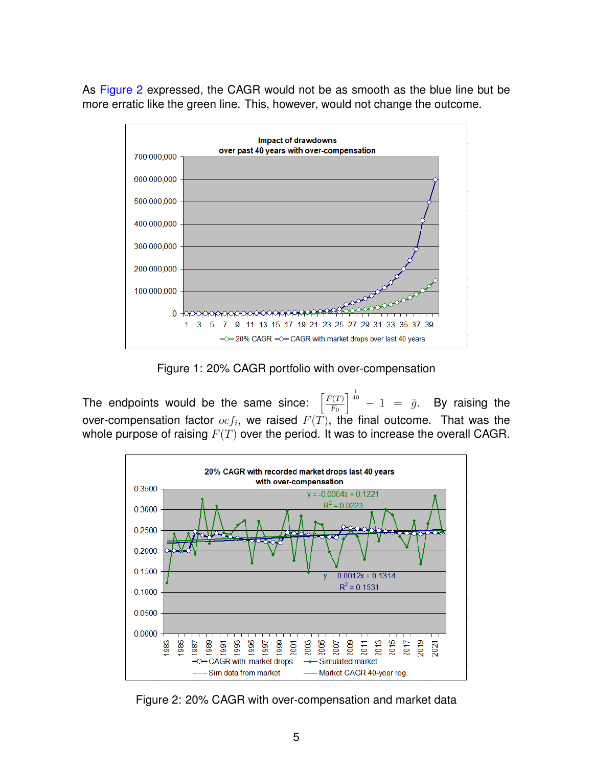As [Figure 2](#page-4-1) expressed, the CAGR would not be as smooth as the blue line but be more erratic like the green line. This, however, would not change the outcome.



<span id="page-4-0"></span>Figure 1: 20% CAGR portfolio with over-compensation

The endpoints would be the same since:  $F(T)$  $F_{0}$  $\int_{0}^{\frac{1}{40}} - 1 = \bar{g}$ . By raising the over-compensation factor  $ocf_i$ , we raised  $F(T)$ , the final outcome. That was the whole purpose of raising  $F(T)$  over the period. It was to increase the overall CAGR.



<span id="page-4-1"></span>Figure 2: 20% CAGR with over-compensation and market data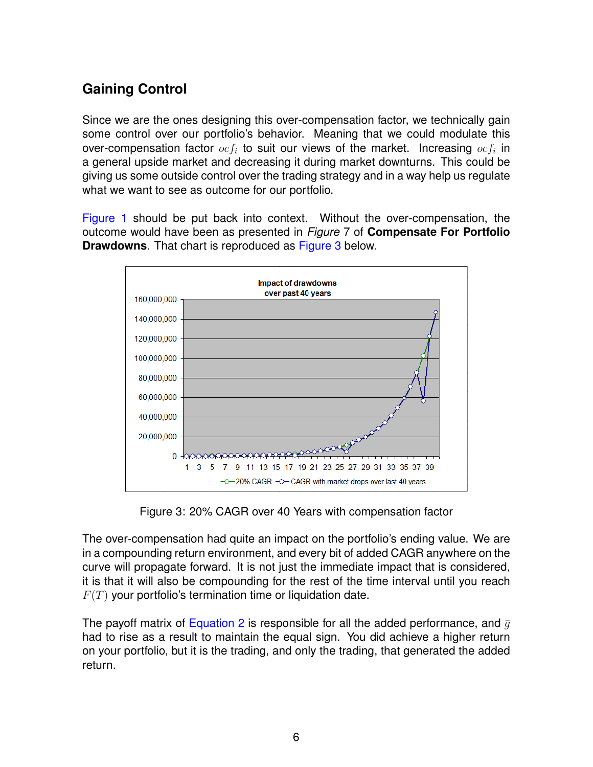# **Gaining Control**

Since we are the ones designing this over-compensation factor, we technically gain some control over our portfolio's behavior. Meaning that we could modulate this over-compensation factor  $ocf_i$  to suit our views of the market. Increasing  $ocf_i$  in a general upside market and decreasing it during market downturns. This could be giving us some outside control over the trading strategy and in a way help us regulate what we want to see as outcome for our portfolio.

[Figure 1](#page-4-0) should be put back into context. Without the over-compensation, the outcome would have been as presented in *Figure* 7 of **Compensate For Portfolio Drawdowns**. That chart is reproduced as [Figure 3](#page-5-0) below.



<span id="page-5-0"></span>Figure 3: 20% CAGR over 40 Years with compensation factor

The over-compensation had quite an impact on the portfolio's ending value. We are in a compounding return environment, and every bit of added CAGR anywhere on the curve will propagate forward. It is not just the immediate impact that is considered, it is that it will also be compounding for the rest of the time interval until you reach  $F(T)$  your portfolio's termination time or liquidation date.

The payoff matrix of [Equation 2](#page-2-2) is responsible for all the added performance, and  $\bar{g}$ had to rise as a result to maintain the equal sign. You did achieve a higher return on your portfolio, but it is the trading, and only the trading, that generated the added return.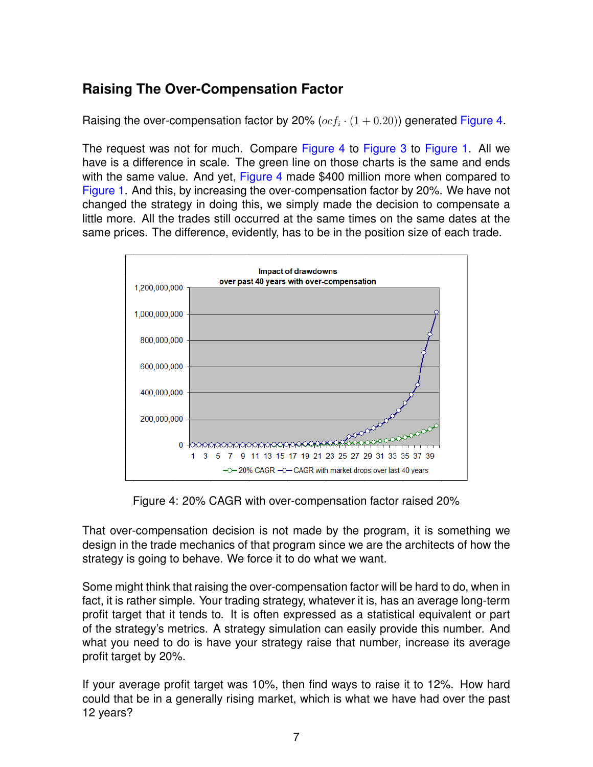# **Raising The Over-Compensation Factor**

Raising the over-compensation factor by 20%  $(ocf_i \cdot (1 + 0.20))$  generated [Figure 4.](#page-6-0)

The request was not for much. Compare [Figure 4](#page-6-0) to [Figure 3](#page-5-0) to [Figure 1.](#page-4-0) All we have is a difference in scale. The green line on those charts is the same and ends with the same value. And yet, [Figure 4](#page-6-0) made \$400 million more when compared to [Figure 1.](#page-4-0) And this, by increasing the over-compensation factor by 20%. We have not changed the strategy in doing this, we simply made the decision to compensate a little more. All the trades still occurred at the same times on the same dates at the same prices. The difference, evidently, has to be in the position size of each trade.



<span id="page-6-0"></span>Figure 4: 20% CAGR with over-compensation factor raised 20%

That over-compensation decision is not made by the program, it is something we design in the trade mechanics of that program since we are the architects of how the strategy is going to behave. We force it to do what we want.

Some might think that raising the over-compensation factor will be hard to do, when in fact, it is rather simple. Your trading strategy, whatever it is, has an average long-term profit target that it tends to. It is often expressed as a statistical equivalent or part of the strategy's metrics. A strategy simulation can easily provide this number. And what you need to do is have your strategy raise that number, increase its average profit target by 20%.

If your average profit target was 10%, then find ways to raise it to 12%. How hard could that be in a generally rising market, which is what we have had over the past 12 years?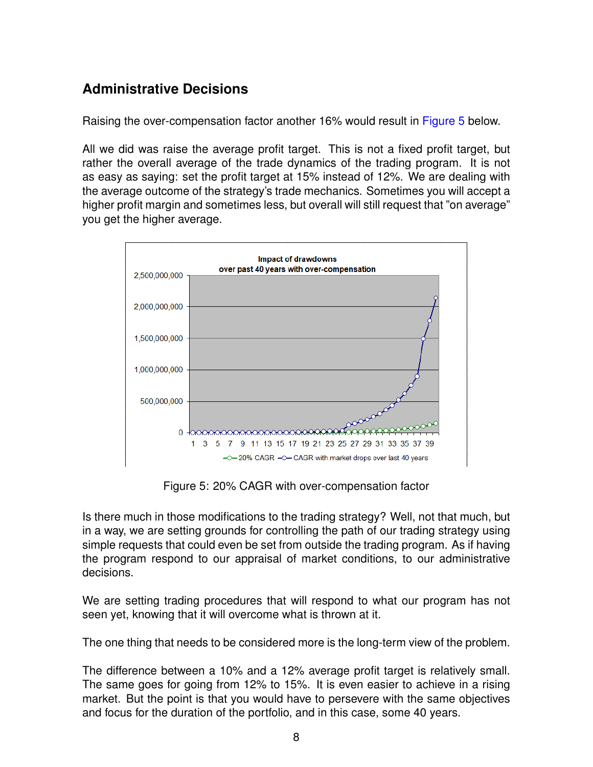## **Administrative Decisions**

Raising the over-compensation factor another 16% would result in [Figure 5](#page-7-0) below.

All we did was raise the average profit target. This is not a fixed profit target, but rather the overall average of the trade dynamics of the trading program. It is not as easy as saying: set the profit target at 15% instead of 12%. We are dealing with the average outcome of the strategy's trade mechanics. Sometimes you will accept a higher profit margin and sometimes less, but overall will still request that "on average" you get the higher average.



<span id="page-7-0"></span>Figure 5: 20% CAGR with over-compensation factor

Is there much in those modifications to the trading strategy? Well, not that much, but in a way, we are setting grounds for controlling the path of our trading strategy using simple requests that could even be set from outside the trading program. As if having the program respond to our appraisal of market conditions, to our administrative decisions.

We are setting trading procedures that will respond to what our program has not seen yet, knowing that it will overcome what is thrown at it.

The one thing that needs to be considered more is the long-term view of the problem.

The difference between a 10% and a 12% average profit target is relatively small. The same goes for going from 12% to 15%. It is even easier to achieve in a rising market. But the point is that you would have to persevere with the same objectives and focus for the duration of the portfolio, and in this case, some 40 years.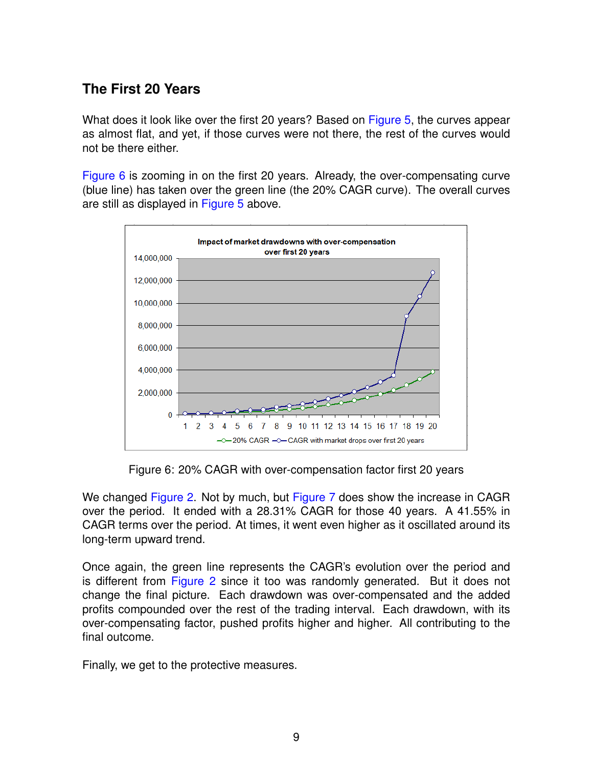### **The First 20 Years**

What does it look like over the first 20 years? Based on [Figure 5,](#page-7-0) the curves appear as almost flat, and yet, if those curves were not there, the rest of the curves would not be there either.

[Figure 6](#page-8-0) is zooming in on the first 20 years. Already, the over-compensating curve (blue line) has taken over the green line (the 20% CAGR curve). The overall curves are still as displayed in [Figure 5](#page-7-0) above.



<span id="page-8-0"></span>Figure 6: 20% CAGR with over-compensation factor first 20 years

We changed [Figure 2.](#page-4-1) Not by much, but [Figure 7](#page-9-0) does show the increase in CAGR over the period. It ended with a 28.31% CAGR for those 40 years. A 41.55% in CAGR terms over the period. At times, it went even higher as it oscillated around its long-term upward trend.

Once again, the green line represents the CAGR's evolution over the period and is different from [Figure 2](#page-4-1) since it too was randomly generated. But it does not change the final picture. Each drawdown was over-compensated and the added profits compounded over the rest of the trading interval. Each drawdown, with its over-compensating factor, pushed profits higher and higher. All contributing to the final outcome.

Finally, we get to the protective measures.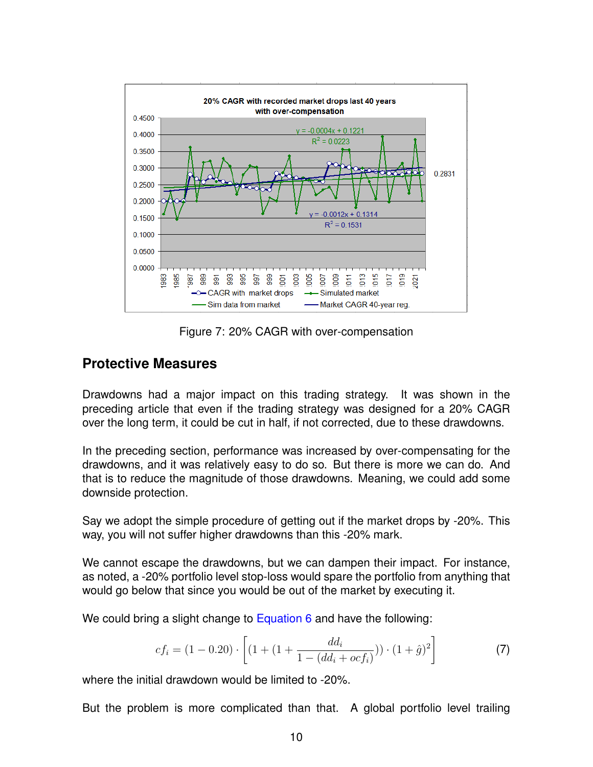

<span id="page-9-0"></span>Figure 7: 20% CAGR with over-compensation

#### **Protective Measures**

Drawdowns had a major impact on this trading strategy. It was shown in the preceding article that even if the trading strategy was designed for a 20% CAGR over the long term, it could be cut in half, if not corrected, due to these drawdowns.

In the preceding section, performance was increased by over-compensating for the drawdowns, and it was relatively easy to do so. But there is more we can do. And that is to reduce the magnitude of those drawdowns. Meaning, we could add some downside protection.

Say we adopt the simple procedure of getting out if the market drops by -20%. This way, you will not suffer higher drawdowns than this -20% mark.

We cannot escape the drawdowns, but we can dampen their impact. For instance, as noted, a -20% portfolio level stop-loss would spare the portfolio from anything that would go below that since you would be out of the market by executing it.

We could bring a slight change to [Equation 6](#page-3-1) and have the following:

<span id="page-9-1"></span>
$$
cf_i = (1 - 0.20) \cdot \left[ (1 + (1 + \frac{dd_i}{1 - (dd_i + ocf_i)})) \cdot (1 + \hat{g})^2 \right]
$$
 (7)

where the initial drawdown would be limited to -20%.

But the problem is more complicated than that. A global portfolio level trailing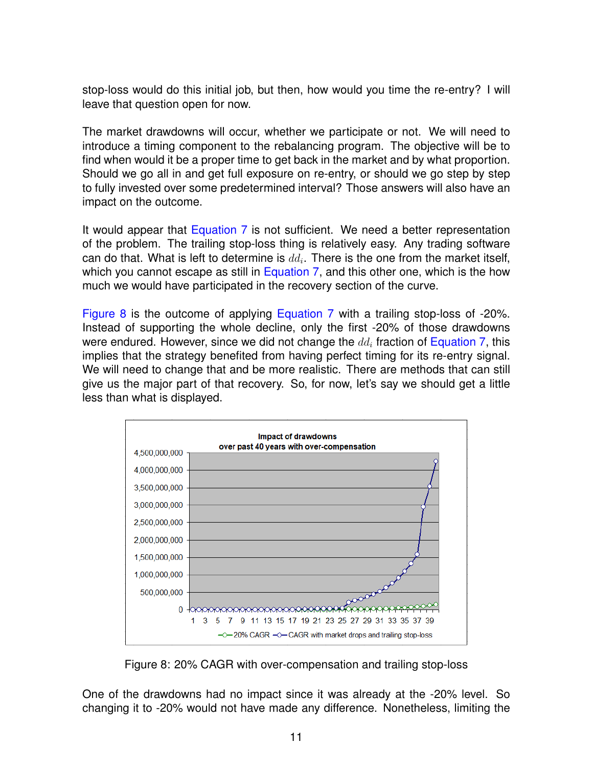stop-loss would do this initial job, but then, how would you time the re-entry? I will leave that question open for now.

The market drawdowns will occur, whether we participate or not. We will need to introduce a timing component to the rebalancing program. The objective will be to find when would it be a proper time to get back in the market and by what proportion. Should we go all in and get full exposure on re-entry, or should we go step by step to fully invested over some predetermined interval? Those answers will also have an impact on the outcome.

It would appear that **[Equation 7](#page-9-1)** is not sufficient. We need a better representation of the problem. The trailing stop-loss thing is relatively easy. Any trading software can do that. What is left to determine is  $dd_i$ . There is the one from the market itself, which you cannot escape as still in [Equation 7,](#page-9-1) and this other one, which is the how much we would have participated in the recovery section of the curve.

[Figure 8](#page-10-0) is the outcome of applying [Equation 7](#page-9-1) with a trailing stop-loss of -20%. Instead of supporting the whole decline, only the first -20% of those drawdowns were endured. However, since we did not change the  $d d_i$  fraction of [Equation 7,](#page-9-1) this implies that the strategy benefited from having perfect timing for its re-entry signal. We will need to change that and be more realistic. There are methods that can still give us the major part of that recovery. So, for now, let's say we should get a little less than what is displayed.



<span id="page-10-0"></span>Figure 8: 20% CAGR with over-compensation and trailing stop-loss

One of the drawdowns had no impact since it was already at the -20% level. So changing it to -20% would not have made any difference. Nonetheless, limiting the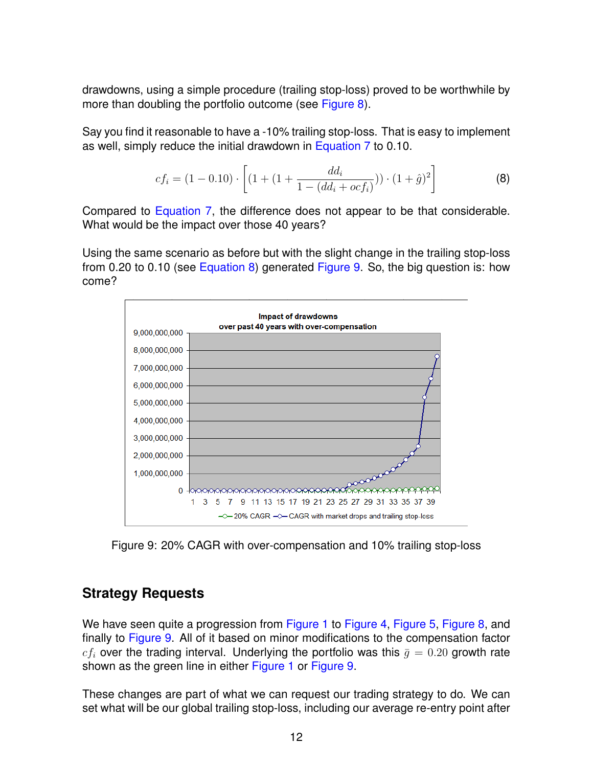drawdowns, using a simple procedure (trailing stop-loss) proved to be worthwhile by more than doubling the portfolio outcome (see [Figure 8\)](#page-10-0).

Say you find it reasonable to have a -10% trailing stop-loss. That is easy to implement as well, simply reduce the initial drawdown in [Equation 7](#page-9-1) to 0.10.

<span id="page-11-1"></span>
$$
cf_i = (1 - 0.10) \cdot \left[ (1 + (1 + \frac{dd_i}{1 - (dd_i + ocf_i)})) \cdot (1 + \hat{g})^2 \right]
$$
 (8)

Compared to [Equation 7,](#page-9-1) the difference does not appear to be that considerable. What would be the impact over those 40 years?

Using the same scenario as before but with the slight change in the trailing stop-loss from 0.20 to 0.10 (see [Equation 8\)](#page-11-1) generated [Figure 9.](#page-11-2) So, the big question is: how come?



<span id="page-11-2"></span>Figure 9: 20% CAGR with over-compensation and 10% trailing stop-loss

#### <span id="page-11-0"></span>**Strategy Requests**

We have seen quite a progression from [Figure 1](#page-4-0) to [Figure 4,](#page-6-0) [Figure 5,](#page-7-0) [Figure 8,](#page-10-0) and finally to [Figure 9.](#page-11-2) All of it based on minor modifications to the compensation factor  $cf_i$  over the trading interval. Underlying the portfolio was this  $\bar{q} = 0.20$  growth rate shown as the green line in either [Figure 1](#page-4-0) or [Figure 9.](#page-11-2)

These changes are part of what we can request our trading strategy to do. We can set what will be our global trailing stop-loss, including our average re-entry point after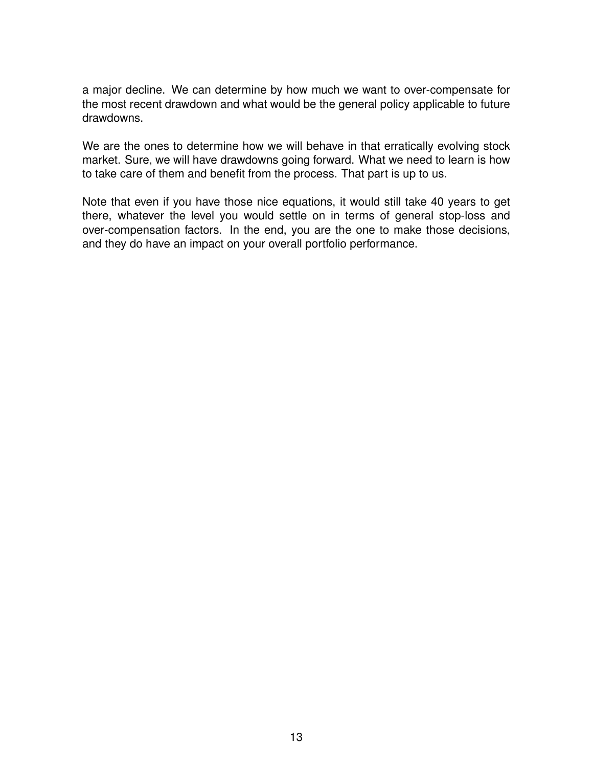a major decline. We can determine by how much we want to over-compensate for the most recent drawdown and what would be the general policy applicable to future drawdowns.

We are the ones to determine how we will behave in that erratically evolving stock market. Sure, we will have drawdowns going forward. What we need to learn is how to take care of them and benefit from the process. That part is up to us.

Note that even if you have those nice equations, it would still take 40 years to get there, whatever the level you would settle on in terms of general stop-loss and over-compensation factors. In the end, you are the one to make those decisions, and they do have an impact on your overall portfolio performance.